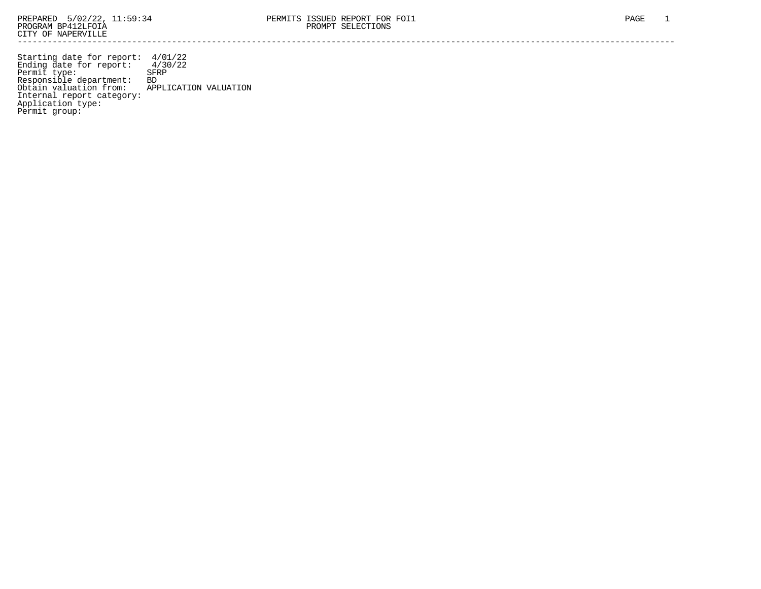Starting date for report: 4/01/22 Ending date for report: 4/30/22 Permit type: SFRP Responsible department: BD Obtain valuation from: APPLICATION VALUATION Internal report category: Application type: Permit group: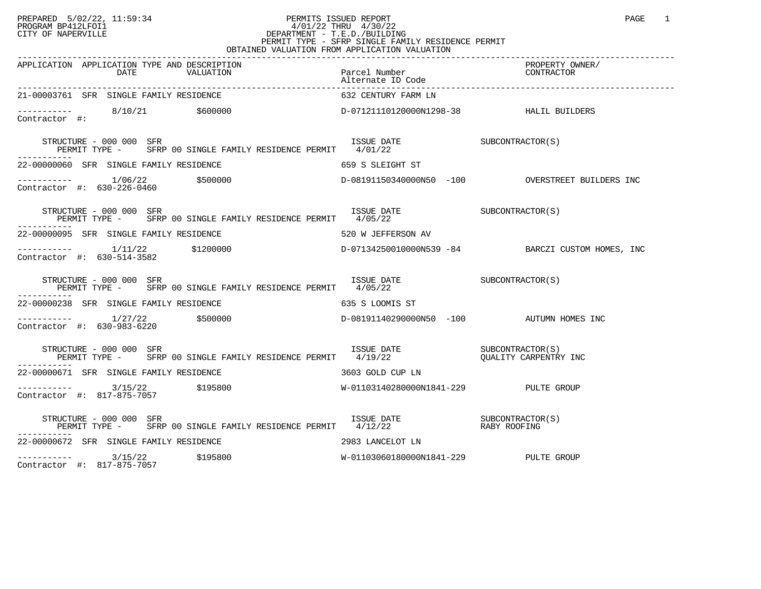#### PREPARED 5/02/22, 11:59:34 PERMITS ISSUED REPORT<br>PROGRAM BP412LFOI1 PAGE 1 PROGRAM BP412LFOI1 4/01/22 THRU 4/30/22 CITY OF NAPERVILLE **Example 20** CITY OF NAPERVILLE CITY OF NAPERVILLE<br>
PERMIT TYPE - SFRP SINGLE FAMILY RESIDENCE PERMIT<br>
PERMIT TYPE - SFRP SINGLE FAMILY RESIDENCE PERMIT OBTAINED VALUATION FROM APPLICATION VALUATION

| 21-00003761 SFR SINGLE FAMILY RESIDENCE                                                                                                                                                                                                                    | 632 CENTURY FARM LN                                                                            |  |
|------------------------------------------------------------------------------------------------------------------------------------------------------------------------------------------------------------------------------------------------------------|------------------------------------------------------------------------------------------------|--|
| $\begin{array}{cccccccccc} - & & & & & 8/10/21 & & & \xi 60 00 00 & & & & & \text{D}-07121110120000 \texttt{N}1298-38 & & & & & \text{HALIL BULDERS} \end{array}$                                                                                          |                                                                                                |  |
|                                                                                                                                                                                                                                                            |                                                                                                |  |
| 22-00000060 SFR SINGLE FAMILY RESIDENCE THE SERIES OF SALE OF SALETGHT ST                                                                                                                                                                                  |                                                                                                |  |
|                                                                                                                                                                                                                                                            |                                                                                                |  |
| $\begin{array}{cccc}\n \text{ISSUE} & \text{DATE} & \text{SUBCONTRACTOR(S)} \\  \hline\n 1/0E/22 & \text{SUBCONTRACTOR(S)}\n \end{array}$<br>STRUCTURE - 000 000 SFR<br>PERMIT TYPE - SFRP 00 SINGLE FAMILY RESIDENCE PERMIT 4/05/22                       |                                                                                                |  |
|                                                                                                                                                                                                                                                            |                                                                                                |  |
|                                                                                                                                                                                                                                                            |                                                                                                |  |
| STRUCTURE - 000 000 SFR<br>PERMIT TYPE - SFRP 00 SINGLE FAMILY RESIDENCE PERMIT 4/05/22                                                                                                                                                                    | $\begin{array}{cc}\n \text{ISSUE} & \text{DATE} \\  \text{1/0E} & \text{1/0E} \\  \end{array}$ |  |
| 22-00000238 SFR SINGLE FAMILY RESIDENCE 635 S LOOMIS ST                                                                                                                                                                                                    |                                                                                                |  |
| Contractor #: 630-983-6220                                                                                                                                                                                                                                 |                                                                                                |  |
| $\begin{array}{cccccc} \texttt{STRUCTURE} & - & 000 & 000 & \texttt{SFR} & & & \\ \texttt{PERMIT} & \texttt{TYPE} & - & \texttt{SFRP} & 00 & \texttt{SINGLE FAMILY} & \texttt{RESIDENCE PERMIT} & 4/19/22 & & & \\ \end{array}$<br>STRUCTURE - 000 000 SFR |                                                                                                |  |
| 22-00000671 SFR SINGLE FAMILY RESIDENCE THE SERIES ON SHOP OUP LN                                                                                                                                                                                          |                                                                                                |  |
| Contractor #: 817-875-7057                                                                                                                                                                                                                                 |                                                                                                |  |
|                                                                                                                                                                                                                                                            |                                                                                                |  |
| 22-00000672 SFR SINGLE FAMILY RESIDENCE THE SERIES OF 2983 LANCELOT LN                                                                                                                                                                                     |                                                                                                |  |
| ----------- 3/15/22 \$195800<br>Contractor #: 817-875-7057                                                                                                                                                                                                 | W-01103060180000N1841-229 PULTE GROUP                                                          |  |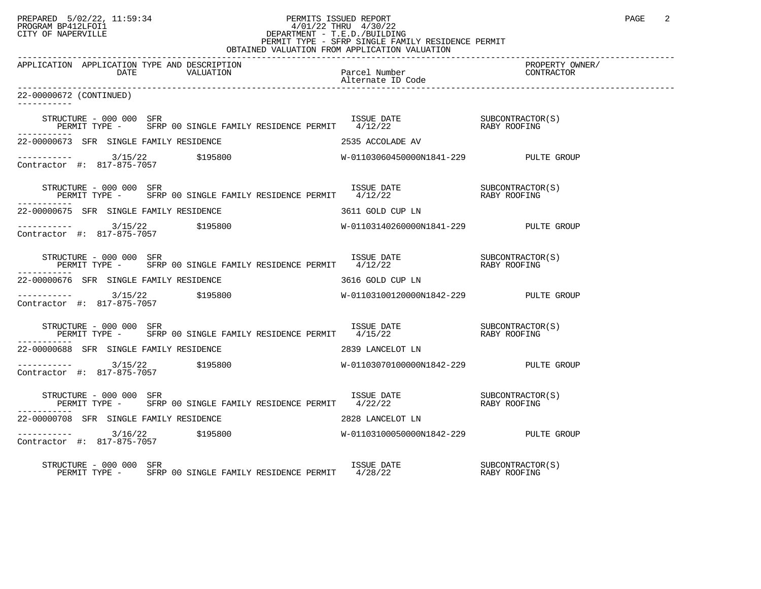# PREPARED 5/02/22, 11:59:34 PERMITS ISSUED REPORT<br>PROGRAM BP412LFOI1 PAGE 2 PROGRAM BP412LFOI1 4/01/22 THRU 4/30/22 CITY OF NAPERVILLE **Example 20** CITY OF NAPERVILLE PERMIT TYPE - SFRP SINGLE FAMILY RESIDENCE PERMIT

| OBTAINED VALUATION FROM APPLICATION VALUATION                                                                                                                                                                    |                  |                               |  |  |
|------------------------------------------------------------------------------------------------------------------------------------------------------------------------------------------------------------------|------------------|-------------------------------|--|--|
| APPLICATION APPLICATION TYPE AND DESCRIPTION                                                                                                                                                                     |                  | PROPERTY OWNER/<br>CONTRACTOR |  |  |
| 22-00000672 (CONTINUED)                                                                                                                                                                                          |                  |                               |  |  |
| STRUCTURE – 000 000 SFR<br>PERMIT TYPE – SFRP 00 SINGLE FAMILY RESIDENCE PERMIT 4/12/22 (RABY ROOFING                                                                                                            |                  |                               |  |  |
| 22-00000673 SFR SINGLE FAMILY RESIDENCE                                                                                                                                                                          | 2535 ACCOLADE AV |                               |  |  |
|                                                                                                                                                                                                                  |                  |                               |  |  |
| STRUCTURE – 000 000 SFR<br>PERMIT TYPE – SFRP 00 SINGLE FAMILY RESIDENCE PERMIT 4/12/22 – RABY ROOFING                                                                                                           |                  |                               |  |  |
| 22-00000675 SFR SINGLE FAMILY RESIDENCE                                                                                                                                                                          | 3611 GOLD CUP LN |                               |  |  |
|                                                                                                                                                                                                                  |                  |                               |  |  |
| STRUCTURE – 000 000 SFR<br>PERMIT TYPE – SFRP 00 SINGLE FAMILY RESIDENCE PERMIT 4/12/22 – RABY ROOFING                                                                                                           |                  |                               |  |  |
| 22-00000676 SFR SINGLE FAMILY RESIDENCE                                                                                                                                                                          | 3616 GOLD CUP LN |                               |  |  |
|                                                                                                                                                                                                                  |                  |                               |  |  |
| $\begin{array}{cccc} \texttt{STRUCTURE} & - & 000 & 000 & \texttt{SFR} \\ \texttt{PERMIT TYPE} & - & \texttt{SFRP} & 00 & \texttt{SINGLE FAMILY RESIDENCE PERMIT} & 4/15/22 & \texttt{RABY ROOFING} \end{array}$ |                  |                               |  |  |
| 22-00000688 SFR SINGLE FAMILY RESIDENCE                                                                                                                                                                          | 2839 LANCELOT LN |                               |  |  |
|                                                                                                                                                                                                                  |                  |                               |  |  |
| $\begin{array}{cccc} \texttt{STRUCTURE} & - & 000 & 000 & \texttt{SFR} \\ \texttt{PERMIT TYPE} & - & \texttt{SFRP} & 00 & \texttt{SINGLE FAMILY RESIDENCE PERMIT} & 4/22/22 & \texttt{RABY ROOFING} \end{array}$ |                  |                               |  |  |
| 22-00000708 SFR SINGLE FAMILY RESIDENCE                                                                                                                                                                          | 2828 LANCELOT LN |                               |  |  |
|                                                                                                                                                                                                                  |                  |                               |  |  |
| STRUCTURE - 000 000 SFR                                                                                                                                                                                          |                  |                               |  |  |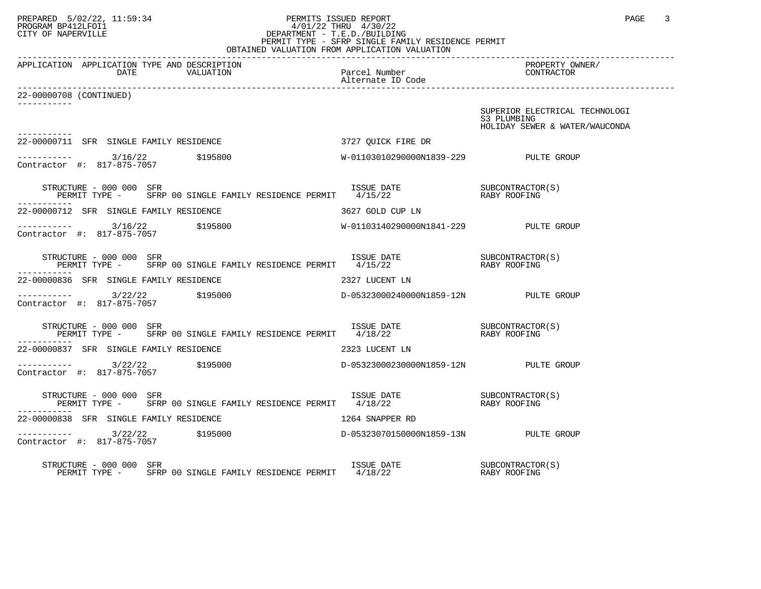### PREPARED 5/02/22, 11:59:34 PERMITS ISSUED REPORT PAGE 3 PROGRAM BP412LFOI1 4/01/22 THRU 4/30/22 CITY OF NAPERVILLE **Example 20** CITY OF NAPERVILLE PERMIT TYPE - SFRP SINGLE FAMILY RESIDENCE PERMIT OBTAINED VALUATION FROM APPLICATION VALUATION

------------------------------------------------------------------------------------------------------------------------------------ APPLICATION APPLICATION TYPE AND DESCRIPTION PROPERTY OWNER/ DATE VALUATION Alternate ID Code ------------------------------------------------------------------------------------------------------------------------------------ 22-00000708 (CONTINUED) ----------- SUPERIOR ELECTRICAL TECHNOLOGI<br>S3 PLUMBING S3 PLUMBING HOLIDAY SEWER & WATER/WAUCONDA ----------- 22-00000711 SFR SINGLE FAMILY RESIDENCE 3727 QUICK FIRE DR ----------- 3/16/22 \$195800 W-01103010290000N1839-229 PULTE GROUP Contractor #: 817-875-7057 STRUCTURE - 000 000 SFR ISSUE DATE SUBCONTRACTOR(S) PERMIT TYPE - SFRP 00 SINGLE FAMILY RESIDENCE PERMIT 4/15/22 RABY ROOFING ----------- 22-00000712 SFR SINGLE FAMILY RESIDENCE 3627 GOLD CUP LN ----------- 3/16/22 \$195800 W-01103140290000N1841-229 PULTE GROUP Contractor #: 817-875-7057 STRUCTURE - 000 000 SFR ISSUE DATE SUBCONTRACTOR(S) PERMIT TYPE - SFRP 00 SINGLE FAMILY RESIDENCE PERMIT 4/15/22 RABY ROOFING ----------- 22-00000836 SFR SINGLE FAMILY RESIDENCE 2327 LUCENT LN ----------- 3/22/22 \$195000 D-05323000240000N1859-12N PULTE GROUP Contractor #: 817-875-7057 STRUCTURE - 000 000 SFR ISSUE DATE SUBCONTRACTOR(S) PERMIT TYPE - SFRP 00 SINGLE FAMILY RESIDENCE PERMIT 4/18/22 RABY ROOFING ----------- 22-00000837 SFR SINGLE FAMILY RESIDENCE 2323 LUCENT LN ----------- 3/22/22 \$195000 D-05323000230000N1859-12N PULTE GROUP Contractor #: 817-875-7057 STRUCTURE - 000 000 SFR ISSUE DATE SUBCONTRACTOR(S) PERMIT TYPE - SFRP 00 SINGLE FAMILY RESIDENCE PERMIT 4/18/22 RABY ROOFING ----------- 22-00000838 SFR SINGLE FAMILY RESIDENCE 1264 SNAPPER RD ----------- 3/22/22 \$195000 D-05323070150000N1859-13N PULTE GROUP Contractor #: 817-875-7057 STRUCTURE - 000 000 SFR ISSUE DATE SUBCONTRACTOR(S) PERMIT TYPE - SFRP 00 SINGLE FAMILY RESIDENCE PERMIT 4/18/22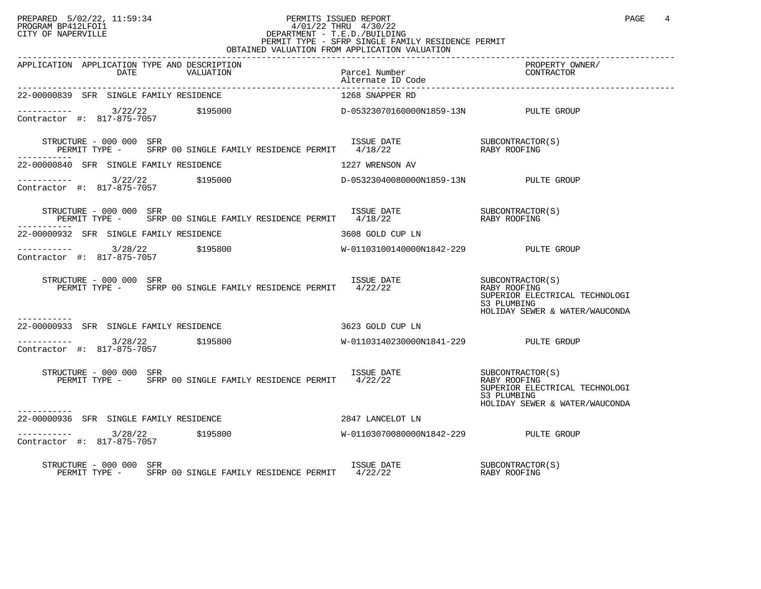#### PREPARED 5/02/22, 11:59:34 PERMITS ISSUED REPORT PROGRAM BP412LFOI1 PAGE 4<br>PROGRAM BP412LFOI1 PROGRAM BP412LFOI1 4/01/22 THRU 4/30/22 CITY OF NAPERVILLE **Example 20** CITY OF NAPERVILLE CITY OF NAPERVILLE<br>
PERMIT TYPE - SFRP SINGLE FAMILY RESIDENCE PERMIT<br>
PERMIT TYPE - SFRP SINGLE FAMILY RESIDENCE PERMIT OBTAINED VALUATION FROM APPLICATION VALUATION

| APPLICATION APPLICATION TYPE AND DESCRIPTION<br>ALLO BE AN ALUATION PACE Number PACEALITY (WWER)<br>DATE VALUATION Alternate ID Code Alternate ID Code Alternate ID Code Alternate ID Code Alternate ID Code (2007 FROE ALTERNATION                                                                                                                                                  |                                       | PROPERTY OWNER/<br>CONTRACTOR                                                                   |
|--------------------------------------------------------------------------------------------------------------------------------------------------------------------------------------------------------------------------------------------------------------------------------------------------------------------------------------------------------------------------------------|---------------------------------------|-------------------------------------------------------------------------------------------------|
| 22-00000839 SFR SINGLE FAMILY RESIDENCE                                                                                                                                                                                                                                                                                                                                              | 1268 SNAPPER RD                       |                                                                                                 |
|                                                                                                                                                                                                                                                                                                                                                                                      |                                       |                                                                                                 |
| STRUCTURE - 000 000 SFR<br>$\begin{array}{cccccc} \texttt{STRUCTURE} & - & 000 & 000 & \texttt{SFR} & & & \\ \texttt{PERMIT TYPE} & - & & \texttt{SFRP} & 00 & \texttt{SINGLE FAMILY RESIDENCE PERMIT} & & & 4/18/22 & & & \\ \texttt{PERMIT TYPE} & - & & \texttt{SFRP} & 00 & \texttt{SINGLE FAMILY RESIDENCE PERMIT} & & & 4/18/22 & & & \\ \end{array}$<br>-----------           |                                       |                                                                                                 |
| 22-00000840 SFR SINGLE FAMILY RESIDENCE                                                                                                                                                                                                                                                                                                                                              | 1227 WRENSON AV                       |                                                                                                 |
| $\begin{array}{cccccccc} - & & & & & 3/22/22 & & & 5195000 & & & & & \text{D}-05323040080000 \text{N}1859-13 \text{N} & & & & & & \text{PULTE GROUP} \\ \text{Contractor & \#:} & & 817-875-7057 & & & & & & \end{array}$                                                                                                                                                            |                                       |                                                                                                 |
| STRUCTURE - 000 000 SFR<br>$\begin{array}{cccccc} \texttt{STRUCTURE} & - & 000 & 000 & \texttt{SFR} & & & \\ \texttt{PERMIT TYPE} & - & & \texttt{SFRP} & 00 & \texttt{SINGLE FAMILY RESIDENCE PERMIT} & & 4/18/22 & & & \\ \texttt{PERMIT TYPE} & - & & \texttt{SFRP} & 00 & \texttt{SINGLE FAMILY RESIDENCE PERMIT} & & 4/18/22 & & & \\ \end{array}$<br>-----------               |                                       |                                                                                                 |
| 22-00000932 SFR SINGLE FAMILY RESIDENCE                                                                                                                                                                                                                                                                                                                                              | 3608 GOLD CUP LN                      |                                                                                                 |
| $\begin{array}{cccccccc} - & & & & & 3/28/22 & & & 5195800 & & & & & & \text{W}-01103100140000\texttt{N}1842-229 & & & & & & \text{PULTE GROUP} \\ \text{Contractor & $\#$:} & & 817-875-7057 & & & & & & \end{array}$                                                                                                                                                               |                                       |                                                                                                 |
| $\begin{tabular}{lllllllll} \texttt{STRUCTURE} & 000 000 & SFR & 1S SUE & DATE & 000 000 & SFR & 000 & SIRU CL & 0000 & SFR & 0000 & SINGLE & FAMILY & RESIDENCE & PERMIT & 4/22/22 & 0000 & RABY ROOTING & 0000 & SFR & 0000 & SIRSE & FAMILY & RESIDENCE & PERMIT & 4/22/22 & 0000 & 0000 & 0000 & 0000 & 0000 & 0000 & 0000 & 0000 & 0000 & 0000 & 00$<br>STRUCTURE - 000 000 SFR |                                       | SUPERIOR ELECTRICAL TECHNOLOGI<br>S3 PLUMBING<br>HOLIDAY SEWER & WATER/WAUCONDA                 |
| 22-00000933 SFR SINGLE FAMILY RESIDENCE<br>3623 GOLD CUP LN                                                                                                                                                                                                                                                                                                                          |                                       |                                                                                                 |
| ----------- 3/28/22 \$195800<br>Contractor #: 817-875-7057 \$195800                                                                                                                                                                                                                                                                                                                  | W-01103140230000N1841-229 PULTE GROUP |                                                                                                 |
| ISSUE DATE SUBCONTRACTOR(S)<br>STRUCTURE - 000 000 SFR<br>PERMIT TYPE - SFRP 00 SINGLE FAMILY RESIDENCE PERMIT 4/22/22                                                                                                                                                                                                                                                               |                                       | RABY ROOFING<br>SUPERIOR ELECTRICAL TECHNOLOGI<br>S3 PLUMBING<br>HOLIDAY SEWER & WATER/WAUCONDA |
| 2847 LANCELOT LN<br>22-00000936 SFR SINGLE FAMILY RESIDENCE                                                                                                                                                                                                                                                                                                                          |                                       |                                                                                                 |
| $\frac{3}{28}/22$ \$195800<br>Contractor #: 817-875-7057                                                                                                                                                                                                                                                                                                                             | W-01103070080000N1842-229 PULTE GROUP |                                                                                                 |
| STRUCTURE - 000 000 SFR                                                                                                                                                                                                                                                                                                                                                              |                                       |                                                                                                 |